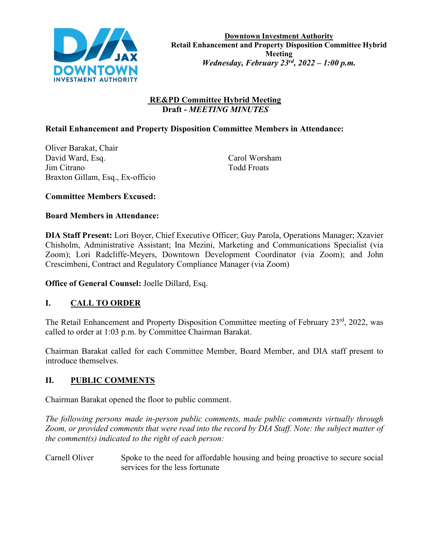

### **RE&PD Committee Hybrid Meeting Draft -** *MEETING MINUTES*

### **Retail Enhancement and Property Disposition Committee Members in Attendance:**

Oliver Barakat, Chair David Ward, Esq. Carol Worsham Jim Citrano Todd Froats Braxton Gillam, Esq., Ex-officio

**Committee Members Excused:**

### **Board Members in Attendance:**

**DIA Staff Present:** Lori Boyer, Chief Executive Officer; Guy Parola, Operations Manager; Xzavier Chisholm, Administrative Assistant; Ina Mezini, Marketing and Communications Specialist (via Zoom); Lori Radcliffe-Meyers, Downtown Development Coordinator (via Zoom); and John Crescimbeni, Contract and Regulatory Compliance Manager (via Zoom)

**Office of General Counsel:** Joelle Dillard, Esq.

# **I. CALL TO ORDER**

The Retail Enhancement and Property Disposition Committee meeting of February 23<sup>rd</sup>, 2022, was called to order at 1:03 p.m. by Committee Chairman Barakat.

Chairman Barakat called for each Committee Member, Board Member, and DIA staff present to introduce themselves.

### **II. PUBLIC COMMENTS**

Chairman Barakat opened the floor to public comment.

*The following persons made in-person public comments, made public comments virtually through Zoom, or provided comments that were read into the record by DIA Staff. Note: the subject matter of the comment(s) indicated to the right of each person:*

Carnell Oliver Spoke to the need for affordable housing and being proactive to secure social services for the less fortunate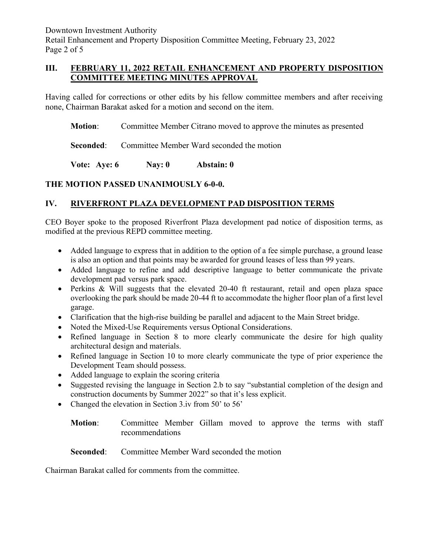Downtown Investment Authority Retail Enhancement and Property Disposition Committee Meeting, February 23, 2022 Page 2 of 5

### **III. FEBRUARY 11, 2022 RETAIL ENHANCEMENT AND PROPERTY DISPOSITION COMMITTEE MEETING MINUTES APPROVAL**

Having called for corrections or other edits by his fellow committee members and after receiving none, Chairman Barakat asked for a motion and second on the item.

**Motion**: Committee Member Citrano moved to approve the minutes as presented

**Seconded:** Committee Member Ward seconded the motion

**Vote: Aye: 6 Nay: 0 Abstain: 0**

### **THE MOTION PASSED UNANIMOUSLY 6-0-0.**

## **IV. RIVERFRONT PLAZA DEVELOPMENT PAD DISPOSITION TERMS**

CEO Boyer spoke to the proposed Riverfront Plaza development pad notice of disposition terms, as modified at the previous REPD committee meeting.

- Added language to express that in addition to the option of a fee simple purchase, a ground lease is also an option and that points may be awarded for ground leases of less than 99 years.
- Added language to refine and add descriptive language to better communicate the private development pad versus park space.
- Perkins & Will suggests that the elevated 20-40 ft restaurant, retail and open plaza space overlooking the park should be made 20-44 ft to accommodate the higher floor plan of a first level garage.
- Clarification that the high-rise building be parallel and adjacent to the Main Street bridge.
- Noted the Mixed-Use Requirements versus Optional Considerations.
- Refined language in Section 8 to more clearly communicate the desire for high quality architectural design and materials.
- Refined language in Section 10 to more clearly communicate the type of prior experience the Development Team should possess.
- Added language to explain the scoring criteria
- Suggested revising the language in Section 2.b to say "substantial completion of the design and construction documents by Summer 2022" so that it's less explicit.
- Changed the elevation in Section 3.iv from 50' to 56'
	- **Motion**: Committee Member Gillam moved to approve the terms with staff recommendations

**Seconded:** Committee Member Ward seconded the motion

Chairman Barakat called for comments from the committee.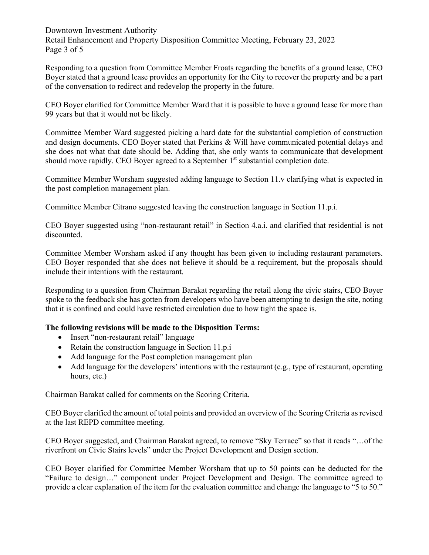Downtown Investment Authority Retail Enhancement and Property Disposition Committee Meeting, February 23, 2022 Page 3 of 5

Responding to a question from Committee Member Froats regarding the benefits of a ground lease, CEO Boyer stated that a ground lease provides an opportunity for the City to recover the property and be a part of the conversation to redirect and redevelop the property in the future.

CEO Boyer clarified for Committee Member Ward that it is possible to have a ground lease for more than 99 years but that it would not be likely.

Committee Member Ward suggested picking a hard date for the substantial completion of construction and design documents. CEO Boyer stated that Perkins & Will have communicated potential delays and she does not what that date should be. Adding that, she only wants to communicate that development should move rapidly. CEO Boyer agreed to a September  $1<sup>st</sup>$  substantial completion date.

Committee Member Worsham suggested adding language to Section 11.v clarifying what is expected in the post completion management plan.

Committee Member Citrano suggested leaving the construction language in Section 11.p.i.

CEO Boyer suggested using "non-restaurant retail" in Section 4.a.i. and clarified that residential is not discounted.

Committee Member Worsham asked if any thought has been given to including restaurant parameters. CEO Boyer responded that she does not believe it should be a requirement, but the proposals should include their intentions with the restaurant.

Responding to a question from Chairman Barakat regarding the retail along the civic stairs, CEO Boyer spoke to the feedback she has gotten from developers who have been attempting to design the site, noting that it is confined and could have restricted circulation due to how tight the space is.

### **The following revisions will be made to the Disposition Terms:**

- Insert "non-restaurant retail" language
- Retain the construction language in Section 11.p.i
- Add language for the Post completion management plan
- Add language for the developers' intentions with the restaurant (e.g., type of restaurant, operating hours, etc.)

Chairman Barakat called for comments on the Scoring Criteria.

CEO Boyer clarified the amount of total points and provided an overview of the Scoring Criteria as revised at the last REPD committee meeting.

CEO Boyer suggested, and Chairman Barakat agreed, to remove "Sky Terrace" so that it reads "…of the riverfront on Civic Stairs levels" under the Project Development and Design section.

CEO Boyer clarified for Committee Member Worsham that up to 50 points can be deducted for the "Failure to design…" component under Project Development and Design. The committee agreed to provide a clear explanation of the item for the evaluation committee and change the language to "5 to 50."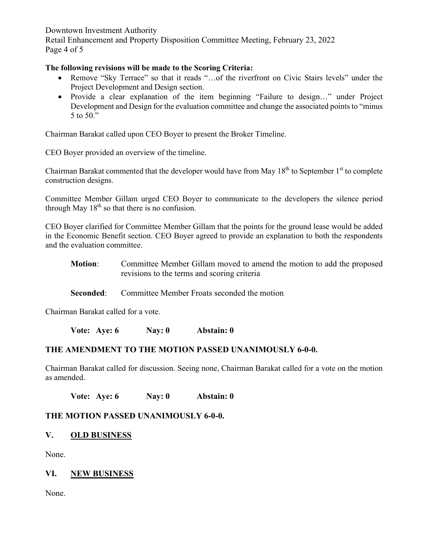Downtown Investment Authority Retail Enhancement and Property Disposition Committee Meeting, February 23, 2022 Page 4 of 5

#### **The following revisions will be made to the Scoring Criteria:**

- Remove "Sky Terrace" so that it reads "…of the riverfront on Civic Stairs levels" under the Project Development and Design section.
- Provide a clear explanation of the item beginning "Failure to design…" under Project Development and Design for the evaluation committee and change the associated points to "minus" 5 to 50."

Chairman Barakat called upon CEO Boyer to present the Broker Timeline.

CEO Boyer provided an overview of the timeline.

Chairman Barakat commented that the developer would have from May  $18<sup>th</sup>$  to September  $1<sup>st</sup>$  to complete construction designs.

Committee Member Gillam urged CEO Boyer to communicate to the developers the silence period through May  $18<sup>th</sup>$  so that there is no confusion.

CEO Boyer clarified for Committee Member Gillam that the points for the ground lease would be added in the Economic Benefit section. CEO Boyer agreed to provide an explanation to both the respondents and the evaluation committee.

**Motion**: Committee Member Gillam moved to amend the motion to add the proposed revisions to the terms and scoring criteria

**Seconded:** Committee Member Froats seconded the motion

Chairman Barakat called for a vote.

**Vote: Aye: 6 Nay: 0 Abstain: 0**

### **THE AMENDMENT TO THE MOTION PASSED UNANIMOUSLY 6-0-0.**

Chairman Barakat called for discussion. Seeing none, Chairman Barakat called for a vote on the motion as amended.

**Vote: Aye: 6 Nay: 0 Abstain: 0**

### **THE MOTION PASSED UNANIMOUSLY 6-0-0.**

### **V. OLD BUSINESS**

None.

#### **VI. NEW BUSINESS**

None.